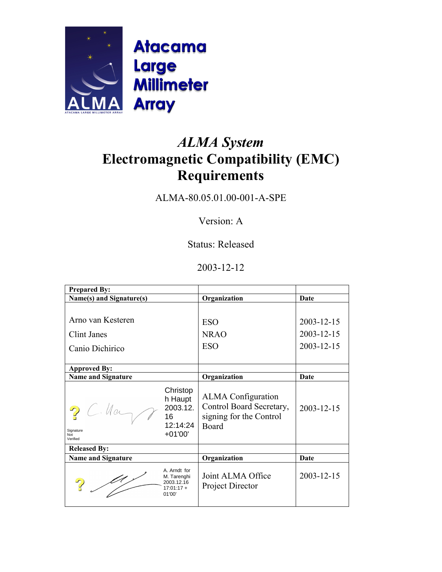

# *ALMA System*  **Electromagnetic Compatibility (EMC) Requirements**

ALMA-80.05.01.00-001-A-SPE

Version: A

Status: Released

## 2003-12-12

| <b>Prepared By:</b>                        |                                                                     |                                                                                           |                          |
|--------------------------------------------|---------------------------------------------------------------------|-------------------------------------------------------------------------------------------|--------------------------|
| Name(s) and Signature(s)                   |                                                                     | Organization                                                                              | Date                     |
| Arno van Kesteren<br>Clint Janes           |                                                                     | <b>ESO</b><br><b>NRAO</b>                                                                 | 2003-12-15<br>2003-12-15 |
| Canio Dichirico                            |                                                                     | <b>ESO</b>                                                                                | 2003-12-15               |
| <b>Approved By:</b>                        |                                                                     |                                                                                           |                          |
| <b>Name and Signature</b>                  |                                                                     | Organization                                                                              | Date                     |
| $2$ C. Hay<br>Signature<br>Not<br>Verified | Christop<br>h Haupt<br>2003.12.<br>16<br>12:14:24<br>$+01'00'$      | <b>ALMA</b> Configuration<br>Control Board Secretary,<br>signing for the Control<br>Board | 2003-12-15               |
| <b>Released By:</b>                        |                                                                     |                                                                                           |                          |
| <b>Name and Signature</b>                  |                                                                     | Organization                                                                              | Date                     |
| $\frac{\mu}{\sigma}$                       | A. Arndt for<br>M. Tarenghi<br>2003.12.16<br>$17:01:17 +$<br>01'00' | Joint ALMA Office<br>Project Director                                                     | 2003-12-15               |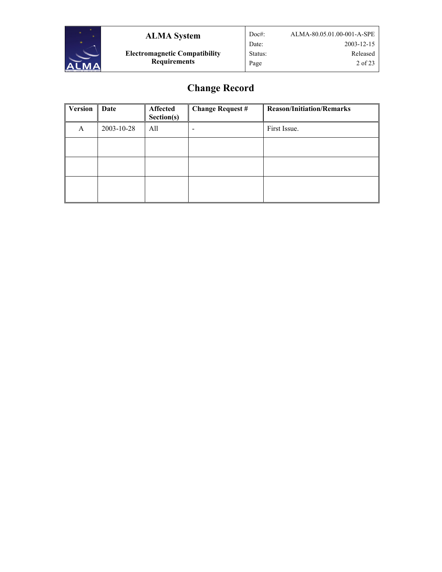

**Electromagnetic Compatibility Requirements**

## **Change Record**

| Version | Date       | Affected<br>Section(s) | <b>Change Request #</b> | <b>Reason/Initiation/Remarks</b> |
|---------|------------|------------------------|-------------------------|----------------------------------|
| A       | 2003-10-28 | All                    |                         | First Issue.                     |
|         |            |                        |                         |                                  |
|         |            |                        |                         |                                  |
|         |            |                        |                         |                                  |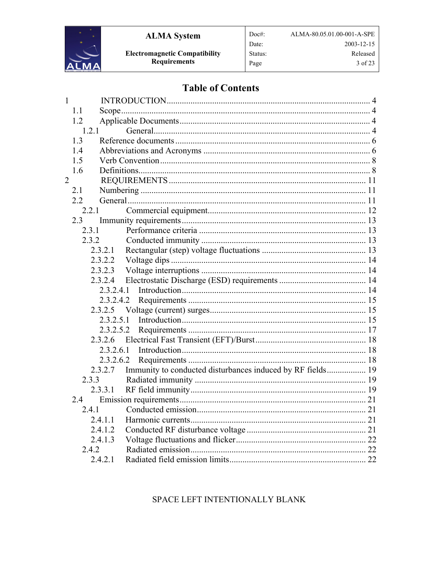

## **Table of Contents**

Doc#:

Date:

Status:

Page

| $\mathbf{1}$   |                   |                                                            |  |
|----------------|-------------------|------------------------------------------------------------|--|
|                | 1.1               |                                                            |  |
|                | 1.2               |                                                            |  |
|                | 1.2.1             |                                                            |  |
|                | 1.3               |                                                            |  |
|                | 1.4               |                                                            |  |
|                | 1.5               |                                                            |  |
|                | 1.6               |                                                            |  |
| $\overline{2}$ |                   |                                                            |  |
|                | 2.1               |                                                            |  |
|                | 2.2               |                                                            |  |
|                | 2.2.1             |                                                            |  |
|                | 2.3               |                                                            |  |
|                | 2.3.1             |                                                            |  |
|                | 2.3.2             |                                                            |  |
|                | 2.3.2.1           |                                                            |  |
|                | 2.3.2.2           |                                                            |  |
|                | 2.3.2.3           |                                                            |  |
|                | 2.3.2.4           |                                                            |  |
|                | 2.3.2.4.1         |                                                            |  |
|                | 2.3.2.4.2         |                                                            |  |
|                | 2.3.2.5           |                                                            |  |
|                | 2.3.2.5.1         |                                                            |  |
|                | 2.3.2.5.2         |                                                            |  |
|                | 2.3.2.6           |                                                            |  |
|                | 2.3.2.6.1         |                                                            |  |
|                | 2.3.2.6.2<br>2327 | Immunity to conducted disturbances induced by RF fields 19 |  |
|                | 2.3.3             |                                                            |  |
|                | 2331              |                                                            |  |
|                | 2.4               |                                                            |  |
|                | 241               |                                                            |  |
|                | 2.4.1.1           |                                                            |  |
|                | 2.4.1.2           |                                                            |  |
|                | 2.4.1.3           |                                                            |  |
|                | 2.4.2             |                                                            |  |
|                | 2.4.2.1           |                                                            |  |
|                |                   |                                                            |  |

## SPACE LEFT INTENTIONALLY BLANK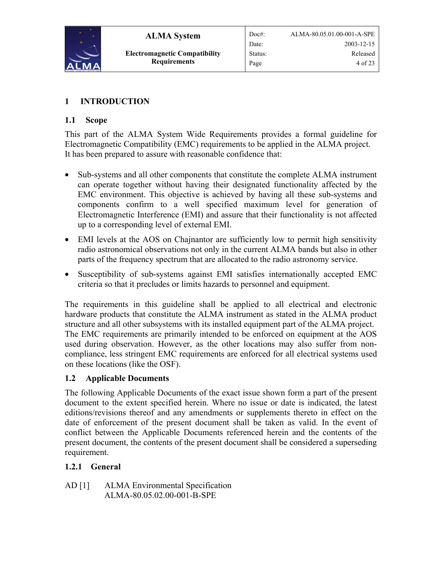<span id="page-3-0"></span>

## **1 INTRODUCTION**

## **1.1 Scope**

This part of the ALMA System Wide Requirements provides a formal guideline for Electromagnetic Compatibility (EMC) requirements to be applied in the ALMA project. It has been prepared to assure with reasonable confidence that:

- Sub-systems and all other components that constitute the complete ALMA instrument can operate together without having their designated functionality affected by the EMC environment. This objective is achieved by having all these sub-systems and components confirm to a well specified maximum level for generation of Electromagnetic Interference (EMI) and assure that their functionality is not affected up to a corresponding level of external EMI.
- EMI levels at the AOS on Chainantor are sufficiently low to permit high sensitivity radio astronomical observations not only in the current ALMA bands but also in other parts of the frequency spectrum that are allocated to the radio astronomy service.
- Susceptibility of sub-systems against EMI satisfies internationally accepted EMC criteria so that it precludes or limits hazards to personnel and equipment.

The requirements in this guideline shall be applied to all electrical and electronic hardware products that constitute the ALMA instrument as stated in the ALMA product structure and all other subsystems with its installed equipment part of the ALMA project. The EMC requirements are primarily intended to be enforced on equipment at the AOS used during observation. However, as the other locations may also suffer from noncompliance, less stringent EMC requirements are enforced for all electrical systems used on these locations (like the OSF).

## **1.2 Applicable Documents**

The following Applicable Documents of the exact issue shown form a part of the present document to the extent specified herein. Where no issue or date is indicated, the latest editions/revisions thereof and any amendments or supplements thereto in effect on the date of enforcement of the present document shall be taken as valid. In the event of conflict between the Applicable Documents referenced herein and the contents of the present document, the contents of the present document shall be considered a superseding requirement.

## **1.2.1 General**

AD [1] ALMA Environmental Specification ALMA-80.05.02.00-001-B-SPE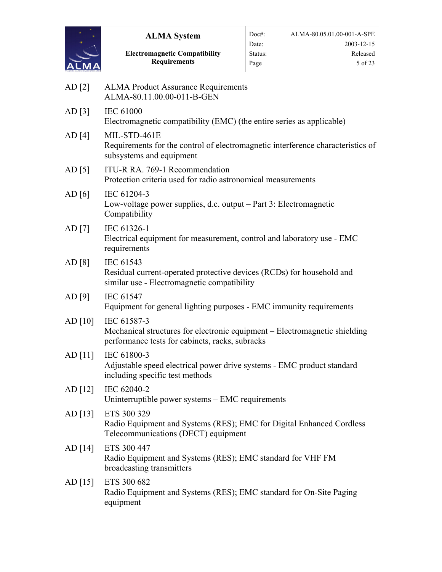

**Electromagnetic Compatibility Requirements**

<span id="page-4-1"></span><span id="page-4-0"></span>

| AD [2]   | <b>ALMA Product Assurance Requirements</b><br>ALMA-80.11.00.00-011-B-GEN                                                                     |
|----------|----------------------------------------------------------------------------------------------------------------------------------------------|
| AD [3]   | <b>IEC 61000</b><br>Electromagnetic compatibility (EMC) (the entire series as applicable)                                                    |
| AD [4]   | MIL-STD-461E<br>Requirements for the control of electromagnetic interference characteristics of<br>subsystems and equipment                  |
| AD [5]   | ITU-R RA. 769-1 Recommendation<br>Protection criteria used for radio astronomical measurements                                               |
| AD $[6]$ | IEC 61204-3<br>Low-voltage power supplies, d.c. output – Part 3: Electromagnetic<br>Compatibility                                            |
| AD [7]   | IEC 61326-1<br>Electrical equipment for measurement, control and laboratory use - EMC<br>requirements                                        |
| AD [8]   | IEC 61543<br>Residual current-operated protective devices (RCDs) for household and<br>similar use - Electromagnetic compatibility            |
| AD [9]   | <b>IEC 61547</b><br>Equipment for general lighting purposes - EMC immunity requirements                                                      |
| AD [10]  | IEC 61587-3<br>Mechanical structures for electronic equipment – Electromagnetic shielding<br>performance tests for cabinets, racks, subracks |
| AD [11]  | IEC 61800-3<br>Adjustable speed electrical power drive systems - EMC product standard<br>including specific test methods                     |
| AD [12]  | IEC 62040-2<br>Uninterruptible power systems – EMC requirements                                                                              |
| AD [13]  | ETS 300 329<br>Radio Equipment and Systems (RES); EMC for Digital Enhanced Cordless<br>Telecommunications (DECT) equipment                   |
| AD [14]  | ETS 300 447<br>Radio Equipment and Systems (RES); EMC standard for VHF FM<br>broadcasting transmitters                                       |
| AD [15]  | ETS 300 682<br>Radio Equipment and Systems (RES); EMC standard for On-Site Paging<br>equipment                                               |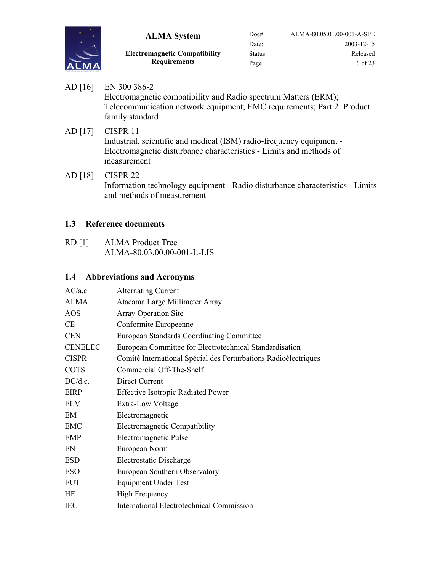<span id="page-5-0"></span>

**Electromagnetic Compatibility Requirements**

- <span id="page-5-2"></span>AD [16] EN 300 386-2 Electromagnetic compatibility and Radio spectrum Matters (ERM); Telecommunication network equipment; EMC requirements; Part 2: Product family standard AD [17] CISPR 11
	- Industrial, scientific and medical (ISM) radio-frequency equipment Electromagnetic disturbance characteristics - Limits and methods of measurement
- <span id="page-5-3"></span>AD [18] CISPR 22 Information technology equipment - Radio disturbance characteristics - Limits and methods of measurement

## **1.3 Reference documents**

<span id="page-5-1"></span>RD [1] ALMA Product Tree ALMA-80.03.00.00-001-L-LIS

## **1.4 Abbreviations and Acronyms**

| AC/a.c.        | <b>Alternating Current</b>                                      |
|----------------|-----------------------------------------------------------------|
| <b>ALMA</b>    | Atacama Large Millimeter Array                                  |
| <b>AOS</b>     | <b>Array Operation Site</b>                                     |
| <b>CE</b>      | Conformite Europeenne                                           |
| <b>CEN</b>     | <b>European Standards Coordinating Committee</b>                |
| <b>CENELEC</b> | European Committee for Electrotechnical Standardisation         |
| <b>CISPR</b>   | Comité International Spécial des Perturbations Radioélectriques |
| <b>COTS</b>    | Commercial Off-The-Shelf                                        |
| DC/d.c.        | Direct Current                                                  |
| <b>EIRP</b>    | <b>Effective Isotropic Radiated Power</b>                       |
| <b>ELV</b>     | Extra-Low Voltage                                               |
| EM             | Electromagnetic                                                 |
| <b>EMC</b>     | Electromagnetic Compatibility                                   |
| <b>EMP</b>     | Electromagnetic Pulse                                           |
| EN             | European Norm                                                   |
| <b>ESD</b>     | <b>Electrostatic Discharge</b>                                  |
| <b>ESO</b>     | European Southern Observatory                                   |
| <b>EUT</b>     | <b>Equipment Under Test</b>                                     |
| HF             | <b>High Frequency</b>                                           |
| <b>IEC</b>     | <b>International Electrotechnical Commission</b>                |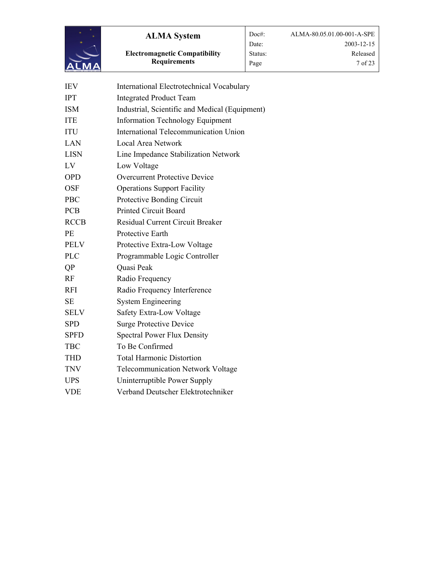

**Electromagnetic Compatibility Requirements**

| <b>IEV</b>  | International Electrotechnical Vocabulary      |
|-------------|------------------------------------------------|
| <b>IPT</b>  | <b>Integrated Product Team</b>                 |
| <b>ISM</b>  | Industrial, Scientific and Medical (Equipment) |
| <b>ITE</b>  | <b>Information Technology Equipment</b>        |
| <b>ITU</b>  | International Telecommunication Union          |
| LAN         | Local Area Network                             |
| <b>LISN</b> | Line Impedance Stabilization Network           |
| LV          | Low Voltage                                    |
| <b>OPD</b>  | <b>Overcurrent Protective Device</b>           |
| <b>OSF</b>  | <b>Operations Support Facility</b>             |
| <b>PBC</b>  | Protective Bonding Circuit                     |
| <b>PCB</b>  | <b>Printed Circuit Board</b>                   |
| <b>RCCB</b> | <b>Residual Current Circuit Breaker</b>        |
| PE          | Protective Earth                               |
| <b>PELV</b> | Protective Extra-Low Voltage                   |
| <b>PLC</b>  | Programmable Logic Controller                  |
| QP          | Quasi Peak                                     |
| RF          | Radio Frequency                                |
| <b>RFI</b>  | Radio Frequency Interference                   |
| <b>SE</b>   | <b>System Engineering</b>                      |
| <b>SELV</b> | Safety Extra-Low Voltage                       |
| <b>SPD</b>  | <b>Surge Protective Device</b>                 |
| <b>SPFD</b> | <b>Spectral Power Flux Density</b>             |
| <b>TBC</b>  | To Be Confirmed                                |
| <b>THD</b>  | <b>Total Harmonic Distortion</b>               |
| <b>TNV</b>  | <b>Telecommunication Network Voltage</b>       |
| <b>UPS</b>  | Uninterruptible Power Supply                   |
| <b>VDE</b>  | Verband Deutscher Elektrotechniker             |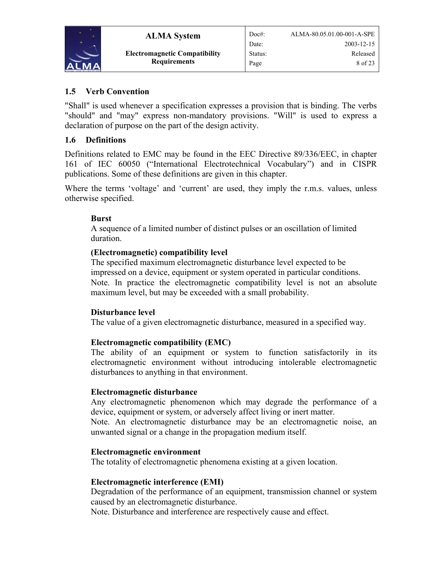<span id="page-7-0"></span>

## **1.5 Verb Convention**

"Shall" is used whenever a specification expresses a provision that is binding. The verbs "should" and "may" express non-mandatory provisions. "Will" is used to express a declaration of purpose on the part of the design activity.

## **1.6 Definitions**

Definitions related to EMC may be found in the EEC Directive 89/336/EEC, in chapter 161 of IEC 60050 ("International Electrotechnical Vocabulary") and in CISPR publications. Some of these definitions are given in this chapter.

Where the terms 'voltage' and 'current' are used, they imply the r.m.s. values, unless otherwise specified.

## **Burst**

A sequence of a limited number of distinct pulses or an oscillation of limited duration.

## **(Electromagnetic) compatibility level**

The specified maximum electromagnetic disturbance level expected to be impressed on a device, equipment or system operated in particular conditions. Note. In practice the electromagnetic compatibility level is not an absolute maximum level, but may be exceeded with a small probability.

## **Disturbance level**

The value of a given electromagnetic disturbance, measured in a specified way.

## **Electromagnetic compatibility (EMC)**

The ability of an equipment or system to function satisfactorily in its electromagnetic environment without introducing intolerable electromagnetic disturbances to anything in that environment.

## **Electromagnetic disturbance**

Any electromagnetic phenomenon which may degrade the performance of a device, equipment or system, or adversely affect living or inert matter.

Note. An electromagnetic disturbance may be an electromagnetic noise, an unwanted signal or a change in the propagation medium itself.

## **Electromagnetic environment**

The totality of electromagnetic phenomena existing at a given location.

## **Electromagnetic interference (EMI)**

Degradation of the performance of an equipment, transmission channel or system caused by an electromagnetic disturbance.

Note. Disturbance and interference are respectively cause and effect.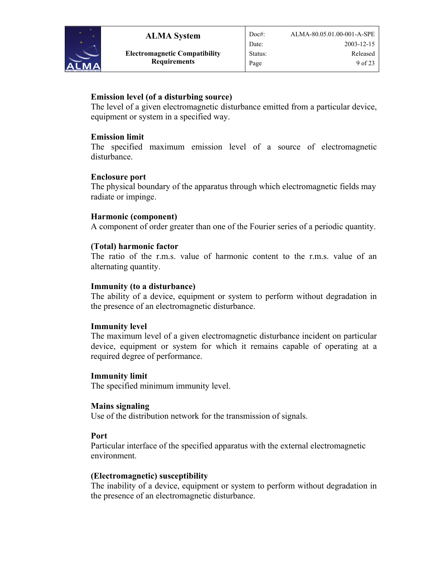

## **Emission level (of a disturbing source)**

The level of a given electromagnetic disturbance emitted from a particular device, equipment or system in a specified way.

#### **Emission limit**

The specified maximum emission level of a source of electromagnetic disturbance.

#### **Enclosure port**

The physical boundary of the apparatus through which electromagnetic fields may radiate or impinge.

#### **Harmonic (component)**

A component of order greater than one of the Fourier series of a periodic quantity.

#### **(Total) harmonic factor**

The ratio of the r.m.s. value of harmonic content to the r.m.s. value of an alternating quantity.

#### **Immunity (to a disturbance)**

The ability of a device, equipment or system to perform without degradation in the presence of an electromagnetic disturbance.

#### **Immunity level**

The maximum level of a given electromagnetic disturbance incident on particular device, equipment or system for which it remains capable of operating at a required degree of performance.

#### **Immunity limit**

The specified minimum immunity level.

#### **Mains signaling**

Use of the distribution network for the transmission of signals.

#### **Port**

Particular interface of the specified apparatus with the external electromagnetic environment.

#### **(Electromagnetic) susceptibility**

The inability of a device, equipment or system to perform without degradation in the presence of an electromagnetic disturbance.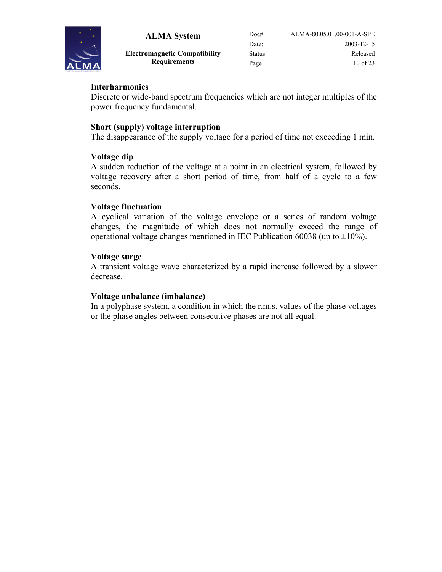

## **Interharmonics**

Discrete or wide-band spectrum frequencies which are not integer multiples of the power frequency fundamental.

## **Short (supply) voltage interruption**

The disappearance of the supply voltage for a period of time not exceeding 1 min.

#### **Voltage dip**

A sudden reduction of the voltage at a point in an electrical system, followed by voltage recovery after a short period of time, from half of a cycle to a few seconds.

#### **Voltage fluctuation**

A cyclical variation of the voltage envelope or a series of random voltage changes, the magnitude of which does not normally exceed the range of operational voltage changes mentioned in IEC Publication 60038 (up to  $\pm 10\%$ ).

#### **Voltage surge**

A transient voltage wave characterized by a rapid increase followed by a slower decrease.

#### **Voltage unbalance (imbalance)**

In a polyphase system, a condition in which the r.m.s. values of the phase voltages or the phase angles between consecutive phases are not all equal.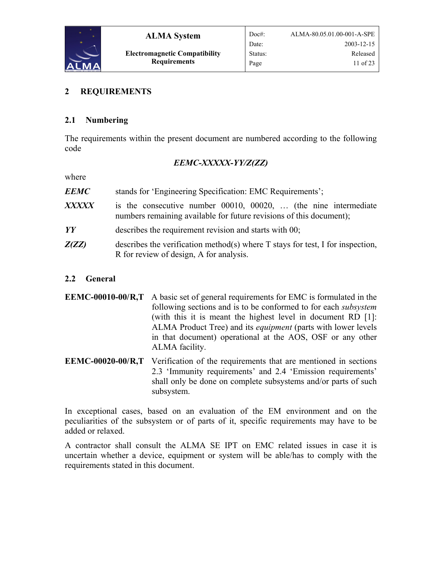<span id="page-10-0"></span>

#### **2 REQUIREMENTS**

#### **2.1 Numbering**

The requirements within the present document are numbered according to the following code

#### *EEMC-XXXXX-YY/Z(ZZ)*

where

| <b>EEMC</b>  | stands for 'Engineering Specification: EMC Requirements';                                                                                    |  |
|--------------|----------------------------------------------------------------------------------------------------------------------------------------------|--|
| <b>XXXXX</b> | is the consecutive number $00010$ , $00020$ ,  (the nine intermediate<br>numbers remaining available for future revisions of this document); |  |
| YY           | describes the requirement revision and starts with 00;                                                                                       |  |
| Z(ZZ)        | describes the verification method(s) where $T$ stays for test, I for inspection,<br>R for review of design, A for analysis.                  |  |

#### **2.2 General**

| <b>EEMC-00010-00/R,T</b> A basic set of general requirements for EMC is formulated in the |
|-------------------------------------------------------------------------------------------|
| following sections and is to be conformed to for each <i>subsystem</i>                    |
| (with this it is meant the highest level in document RD [1]:                              |
| ALMA Product Tree) and its <i>equipment</i> (parts with lower levels                      |
| in that document) operational at the AOS, OSF or any other                                |
| ALMA facility.                                                                            |

**EEMC-00020-00/R,T** Verification of the requirements that are mentioned in sections [2.3](#page-12-1) 'Immunity requirements' and [2.4](#page-20-1) '[Emission requirements](#page-20-1)' shall only be done on complete subsystems and/or parts of such subsystem.

In exceptional cases, based on an evaluation of the EM environment and on the peculiarities of the subsystem or of parts of it, specific requirements may have to be added or relaxed.

A contractor shall consult the ALMA SE IPT on EMC related issues in case it is uncertain whether a device, equipment or system will be able/has to comply with the requirements stated in this document.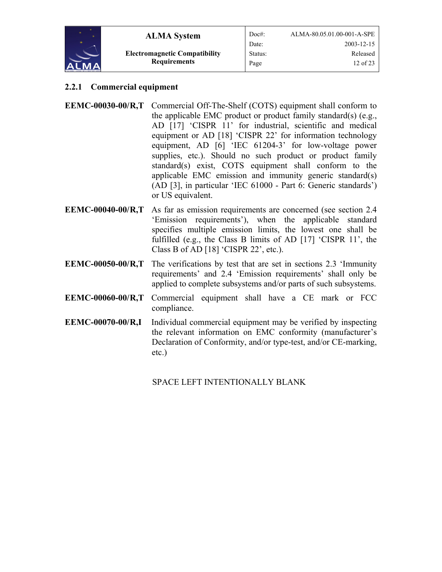<span id="page-11-0"></span>

## **2.2.1 Commercial equipment**

- **EEMC-00030-00/R,T** Commercial Off-The-Shelf (COTS) equipment shall conform to the applicable EMC product or product family standard(s) (e.g., [AD \[17\]](#page-5-2) 'CISPR 11' for industrial, scientific and medical equipment or [AD \[18\]](#page-5-3) 'CISPR 22' for information technology equipment, [AD \[6\]](#page-4-0) 'IEC 61204-3' for low-voltage power supplies, etc.). Should no such product or product family standard(s) exist, COTS equipment shall conform to the applicable EMC emission and immunity generic standard(s) ([AD \[3\],](#page-4-1) in particular 'IEC 61000 - Part 6: Generic standards') or US equivalent.
- **EEMC-00040-00/R,T** As far as emission requirements are concerned (see section [2.4](#page-20-1)  '[Emission requirements](#page-20-1)'), when the applicable standard specifies multiple emission limits, the lowest one shall be fulfilled (e.g., the Class B limits of [AD \[17\]](#page-5-2) 'CISPR 11', the Class B of [AD \[18\]](#page-5-3) 'CISPR 22', etc.).
- requirements' and 2.4 '[Emission requirements](#page-20-1)' shall only be **EEMC-00050-00/R,T** The verifications by test that are set in sections [2.3](#page-12-1) 'Immunity applied to complete subsystems and/or parts of such subsystems.
- **EEMC-00060-00/R,T** Commercial equipment shall have a CE mark or FCC compliance.
- **EEMC-00070-00/R,I** Individual commercial equipment may be verified by inspecting the relevant information on EMC conformity (manufacturer's Declaration of Conformity, and/or type-test, and/or CE-marking, etc.)

SPACE LEFT INTENTIONALLY BLANK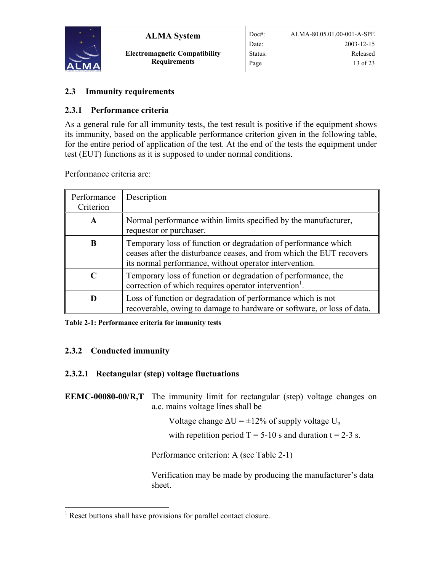<span id="page-12-0"></span>

**ALMA System Electromagnetic Compatibility Requirements**

## <span id="page-12-1"></span>**2.3 Immunity requirements**

## **2.3.1 Performance criteria**

As a general rule for all immunity tests, the test result is positive if the equipment shows its immunity, based on the applicable performance criterion given in the following table, for the entire period of application of the test. At the end of the tests the equipment under test (EUT) functions as it is supposed to under normal conditions.

Performance criteria are:

| Performance<br>Criterion | Description                                                                                                                                                                                      |
|--------------------------|--------------------------------------------------------------------------------------------------------------------------------------------------------------------------------------------------|
| A                        | Normal performance within limits specified by the manufacturer,<br>requestor or purchaser.                                                                                                       |
| B                        | Temporary loss of function or degradation of performance which<br>ceases after the disturbance ceases, and from which the EUT recovers<br>its normal performance, without operator intervention. |
|                          | Temporary loss of function or degradation of performance, the<br>correction of which requires operator intervention <sup>1</sup> .                                                               |
| D                        | Loss of function or degradation of performance which is not<br>recoverable, owing to damage to hardware or software, or loss of data.                                                            |

<span id="page-12-2"></span>**Table 2-1: Performance criteria for immunity tests** 

## **2.3.2 Conducted immunity**

## **2.3.2.1 Rectangular (step) voltage fluctuations**

**EEMC-00080-00/R,T** The immunity limit for rectangular (step) voltage changes on a.c. mains voltage lines shall be

Voltage change  $\Delta U = \pm 12\%$  of supply voltage U<sub>n</sub>

with repetition period  $T = 5-10$  s and duration  $t = 2-3$  s.

Performance criterion: A (see [Table 2-1\)](#page-12-2)

Verification may be made by producing the manufacturer's data sheet.

<span id="page-12-3"></span> $\overline{a}$ <sup>1</sup> Reset buttons shall have provisions for parallel contact closure.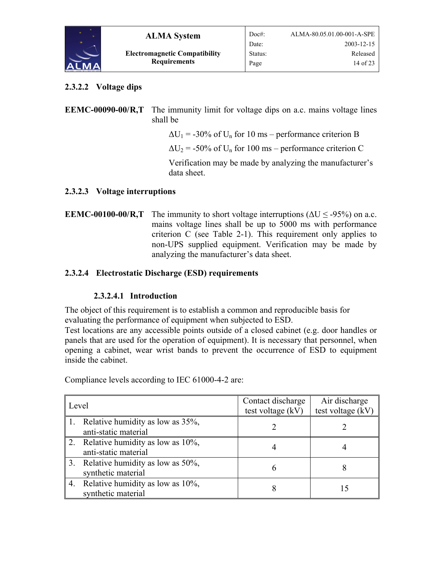<span id="page-13-0"></span>

## **2.3.2.2 Voltage dips**

**EEMC-00090-00/R,T** The immunity limit for voltage dips on a.c. mains voltage lines shall be

 $\Delta U_1$  = -30% of U<sub>n</sub> for 10 ms – performance criterion B

 $\Delta U_2$  = -50% of U<sub>n</sub> for 100 ms – performance criterion C

Verification may be made by analyzing the manufacturer's data sheet.

## **2.3.2.3 Voltage interruptions**

**EEMC-00100-00/R,T** The immunity to short voltage interruptions ( $\Delta U \leq$ -95%) on a.c. mains voltage lines shall be up to 5000 ms with performance criterion  $C$  (see Table 2-1[\)](#page-12-2). This requirement only applies to non-UPS supplied equipment. Verification may be made by analyzing the manufacturer's data sheet.

## **2.3.2.4 Electrostatic Discharge (ESD) requirements**

## **2.3.2.4.1 Introduction**

The object of this requirement is to establish a common and reproducible basis for evaluating the performance of equipment when subjected to ESD.

Test locations are any accessible points outside of a closed cabinet (e.g. door handles or panels that are used for the operation of equipment). It is necessary that personnel, when opening a cabinet, wear wrist bands to prevent the occurrence of ESD to equipment inside the cabinet.

| Level            |                                                              | Contact discharge<br>test voltage $(kV)$ | Air discharge<br>test voltage (kV) |
|------------------|--------------------------------------------------------------|------------------------------------------|------------------------------------|
| $\parallel$ 1.   | Relative humidity as low as 35%,<br>anti-static material     |                                          |                                    |
| $\vert 2. \vert$ | Relative humidity as low as $10\%$ ,<br>anti-static material |                                          |                                    |
| $\vert 3. \vert$ | Relative humidity as low as 50%,<br>synthetic material       |                                          |                                    |
| 4.               | Relative humidity as low as 10%,<br>synthetic material       |                                          | 15                                 |

Compliance levels according to IEC 61000-4-2 are: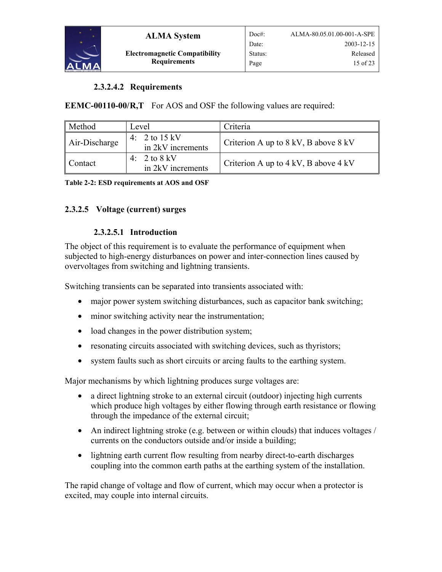<span id="page-14-0"></span>

## **2.3.2.4.2 Requirements**

**EEMC-00110-00/R,T** For AOS and OSF the following values are required:

| Method        | Level                                                 | Criteria                                 |
|---------------|-------------------------------------------------------|------------------------------------------|
| Air-Discharge | 4: $2 \text{ to } 15 \text{ kV}$<br>in 2kV increments | Criterion A up to $8$ kV, B above $8$ kV |
| Contact       | 2 to 8 kV<br>$4^{\cdot}$<br>in 2kV increments         | Criterion A up to $4$ kV, B above $4$ kV |

**Table 2-2: ESD requirements at AOS and OSF** 

## **2.3.2.5 Voltage (current) surges**

#### <span id="page-14-1"></span>**2.3.2.5.1 Introduction**

The object of this requirement is to evaluate the performance of equipment when subjected to high-energy disturbances on power and inter-connection lines caused by overvoltages from switching and lightning transients.

Switching transients can be separated into transients associated with:

- major power system switching disturbances, such as capacitor bank switching;
- minor switching activity near the instrumentation;
- load changes in the power distribution system;
- resonating circuits associated with switching devices, such as thyristors;
- system faults such as short circuits or arcing faults to the earthing system.

Major mechanisms by which lightning produces surge voltages are:

- a direct lightning stroke to an external circuit (outdoor) injecting high currents which produce high voltages by either flowing through earth resistance or flowing through the impedance of the external circuit;
- An indirect lightning stroke (e.g. between or within clouds) that induces voltages / currents on the conductors outside and/or inside a building;
- lightning earth current flow resulting from nearby direct-to-earth discharges coupling into the common earth paths at the earthing system of the installation.

The rapid change of voltage and flow of current, which may occur when a protector is excited, may couple into internal circuits.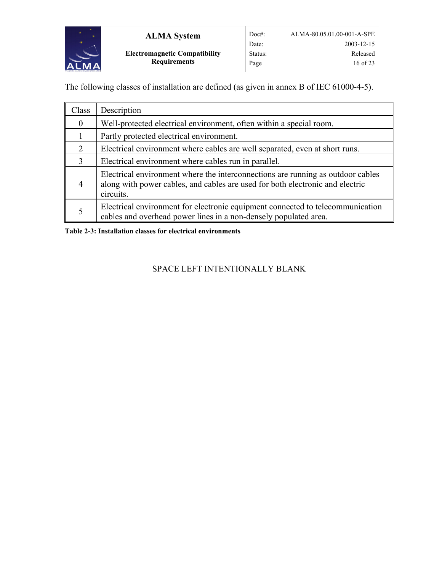

The following classes of installation are defined (as given in annex B of IEC 61000-4-5).

| Class            | Description                                                                                                                                                                   |
|------------------|-------------------------------------------------------------------------------------------------------------------------------------------------------------------------------|
| $\boldsymbol{0}$ | Well-protected electrical environment, often within a special room.                                                                                                           |
|                  | Partly protected electrical environment.                                                                                                                                      |
| 2                | Electrical environment where cables are well separated, even at short runs.                                                                                                   |
| 3                | Electrical environment where cables run in parallel.                                                                                                                          |
| 4                | Electrical environment where the interconnections are running as outdoor cables<br>along with power cables, and cables are used for both electronic and electric<br>circuits. |
| 5                | Electrical environment for electronic equipment connected to telecommunication<br>cables and overhead power lines in a non-densely populated area.                            |

**Table 2-3: Installation classes for electrical environments** 

## SPACE LEFT INTENTIONALLY BLANK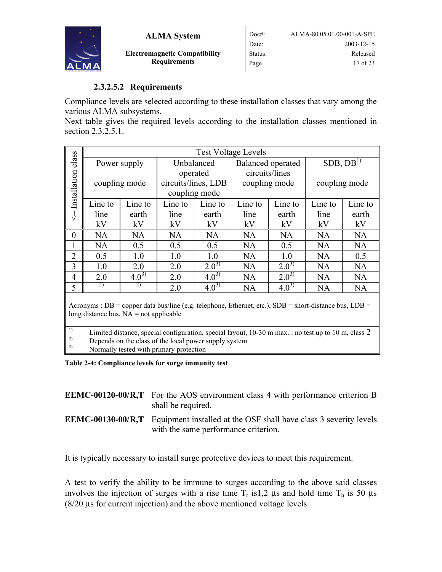<span id="page-16-0"></span>

## **2.3.2.5.2 Requirements**

Compliance levels are selected according to these installation classes that vary among the various ALMA subsystems.

Next table gives the required levels according to the installation classes mentioned in section [2.3.2.5.1.](#page-14-1)

|                | <b>Test Voltage Levels</b> |           |                     |           |                          |           |                      |           |
|----------------|----------------------------|-----------|---------------------|-----------|--------------------------|-----------|----------------------|-----------|
| class          | Power supply               |           | Unbalanced          |           | <b>Balanced</b> operated |           | SDB, DB <sup>1</sup> |           |
|                |                            |           | operated            |           | circuits/lines           |           |                      |           |
| Installation   | coupling mode              |           | circuits/lines, LDB |           | coupling mode            |           | coupling mode        |           |
|                |                            |           | coupling mode       |           |                          |           |                      |           |
|                | Line to                    | Line to   | Line to             | Line to   | Line to                  | Line to   | Line to              | Line to   |
| IJ             | line                       | earth     | line                | earth     | line                     | earth     | line                 | earth     |
|                | kV                         | kV        | kV                  | kV        | kV                       | kV        | kV                   | kV        |
| $\theta$       | <b>NA</b>                  | <b>NA</b> | <b>NA</b>           | NA        | <b>NA</b>                | <b>NA</b> | <b>NA</b>            | <b>NA</b> |
|                | <b>NA</b>                  | 0.5       | 0.5                 | 0.5       | <b>NA</b>                | 0.5       | NA                   | NA        |
| $\overline{2}$ | 0.5                        | 1.0       | 1.0                 | 1.0       | <b>NA</b>                | 1.0       | <b>NA</b>            | 0.5       |
| 3              | 1.0                        | 2.0       | 2.0                 | $2.0^{3}$ | NA                       | $2.0^{3}$ | <b>NA</b>            | <b>NA</b> |
| $\overline{4}$ | 2.0                        | $4.0^{3}$ | 2.0                 | $4.0^{3}$ | <b>NA</b>                | $2.0^{3}$ | <b>NA</b>            | <b>NA</b> |
| 5              | 2)                         | 2)        | 2.0                 | $4.0^{3}$ | <b>NA</b>                | $4.0^{3}$ | <b>NA</b>            | <b>NA</b> |

Acronyms : DB = copper data bus/line (e.g. telephone, Ethernet, etc.), SDB = short-distance bus, LDB = long distance bus,  $NA = not$  applicable

<sup>1)</sup> Limited distance, special configuration, special layout, 10-30 m max. : no test up to 10 m, class 2<br> **Depends** on the class of the local power supply system <sup>2)</sup> Depends on the class of the local power supply system  $\frac{3}{2}$  Normally tested with primary protection

3) Normally tested with primary protection

**Table 2-4: Compliance levels for surge immunity test** 

| <b>EEMC-00120-00/R,T</b> For the AOS environment class 4 with performance criterion B |
|---------------------------------------------------------------------------------------|
| shall be required.                                                                    |

**EEMC-00130-00/R,T** Equipment installed at the OSF shall have class 3 severity levels with the same performance criterion.

It is typically necessary to install surge protective devices to meet this requirement.

A test to verify the ability to be immune to surges according to the above said classes involves the injection of surges with a rise time  $T<sub>r</sub>$  is1,2 us and hold time  $T<sub>h</sub>$  is 50 us (8/20 µs for current injection) and the above mentioned voltage levels.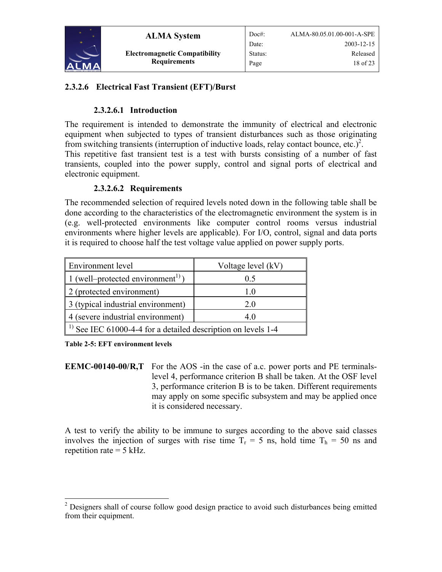<span id="page-17-0"></span>

**ALMA System Electromagnetic Compatibility Requirements**

## **2.3.2.6 Electrical Fast Transient (EFT)/Burst**

## **2.3.2.6.1 Introduction**

The requirement is intended to demonstrate the immunity of electrical and electronic equipment when subjected to types of transient disturbances such as those originating from switching transients (interruption of inductive loads, relay contact bounce, etc.)<sup>[2](#page-17-1)</sup>. This repetitive fast transient test is a test with bursts consisting of a number of fast transients, coupled into the power supply, control and signal ports of electrical and electronic equipment.

## **2.3.2.6.2 Requirements**

The recommended selection of required levels noted down in the following table shall be done according to the characteristics of the electromagnetic environment the system is in (e.g. well-protected environments like computer control rooms versus industrial environments where higher levels are applicable). For I/O, control, signal and data ports it is required to choose half the test voltage value applied on power supply ports.

| <b>Environment</b> level                                            | Voltage level (kV) |  |
|---------------------------------------------------------------------|--------------------|--|
| 1 (well–protected environment <sup>1)</sup> )                       | 0.5                |  |
| 2 (protected environment)                                           | 1 O                |  |
| 3 (typical industrial environment)                                  | 20                 |  |
| 4 (severe industrial environment)                                   | 40                 |  |
| $^{1}$ ) See IEC 61000-4-4 for a detailed description on levels 1-4 |                    |  |

**Table 2-5: EFT environment levels** 

**EEMC-00140-00/R,T** For the AOS -in the case of a.c. power ports and PE terminalslevel 4, performance criterion B shall be taken. At the OSF level 3, performance criterion B is to be taken. Different requirements may apply on some specific subsystem and may be applied once it is considered necessary.

A test to verify the ability to be immune to surges according to the above said classes involves the injection of surges with rise time  $T_r = 5$  ns, hold time  $T_h = 50$  ns and repetition rate  $= 5$  kHz.

<span id="page-17-1"></span><sup>&</sup>lt;sup>2</sup> Designers shall of course follow good design practice to avoid such disturbances being emitted from their equipment.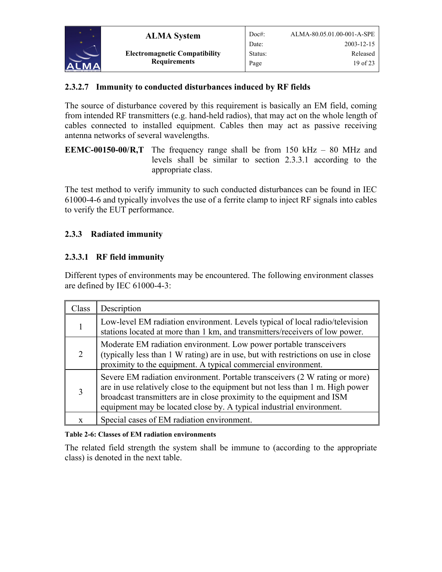<span id="page-18-0"></span>

## **2.3.2.7 Immunity to conducted disturbances induced by RF fields**

The source of disturbance covered by this requirement is basically an EM field, coming from intended RF transmitters (e.g. hand-held radios), that may act on the whole length of cables connected to installed equipment. Cables then may act as passive receiving antenna networks of several wavelengths.

**EEMC-00150-00/R,T** The frequency range shall be from 150 kHz – 80 MHz and levels shall be similar to section [2.3.3.1](#page-18-1) according to the appropriate class.

The test method to verify immunity to such conducted disturbances can be found in IEC 61000-4-6 and typically involves the use of a ferrite clamp to inject RF signals into cables to verify the EUT performance.

## **2.3.3 Radiated immunity**

## <span id="page-18-1"></span>**2.3.3.1 RF field immunity**

Different types of environments may be encountered. The following environment classes are defined by IEC 61000-4-3:

| Class | Description                                                                                                                                                                                                                                                                                                     |
|-------|-----------------------------------------------------------------------------------------------------------------------------------------------------------------------------------------------------------------------------------------------------------------------------------------------------------------|
|       | Low-level EM radiation environment. Levels typical of local radio/television<br>stations located at more than 1 km, and transmitters/receivers of low power.                                                                                                                                                    |
|       | Moderate EM radiation environment. Low power portable transceivers<br>(typically less than 1 W rating) are in use, but with restrictions on use in close<br>proximity to the equipment. A typical commercial environment.                                                                                       |
|       | Severe EM radiation environment. Portable transceivers (2 W rating or more)<br>are in use relatively close to the equipment but not less than 1 m. High power<br>broadcast transmitters are in close proximity to the equipment and ISM<br>equipment may be located close by. A typical industrial environment. |
|       | Special cases of EM radiation environment.                                                                                                                                                                                                                                                                      |

#### **Table 2-6: Classes of EM radiation environments**

The related field strength the system shall be immune to (according to the appropriate class) is denoted in the next table.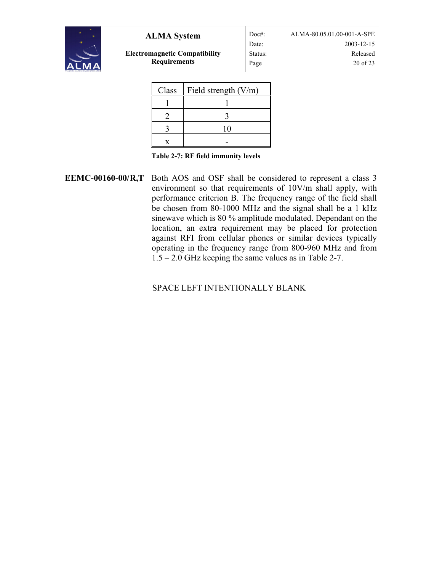

**Electromagnetic Compatibility Requirements**

Doc#: ALMA-80.05.01.00-001-A-SPE Date: 2003-12-15 Status: Released Page 20 of 23

| Class | Field strength $(V/m)$ |  |
|-------|------------------------|--|
|       |                        |  |
|       |                        |  |
|       | 10                     |  |
|       |                        |  |

<span id="page-19-0"></span>

**EEMC-00160-00/R,T** Both AOS and OSF shall be considered to represent a class 3 environment so that requirements of 10V/m shall apply, with performance criterion B. The frequency range of the field shall be chosen from 80-1000 MHz and the signal shall be a 1 kHz sinewave which is 80 % amplitude modulated. Dependant on the location, an extra requirement may be placed for protection against RFI from cellular phones or similar devices typically operating in the frequency range from 800-960 MHz and from 1.5 – 2.0 GHz keeping the same values as in [Table 2-7.](#page-19-0)

## SPACE LEFT INTENTIONALLY BLANK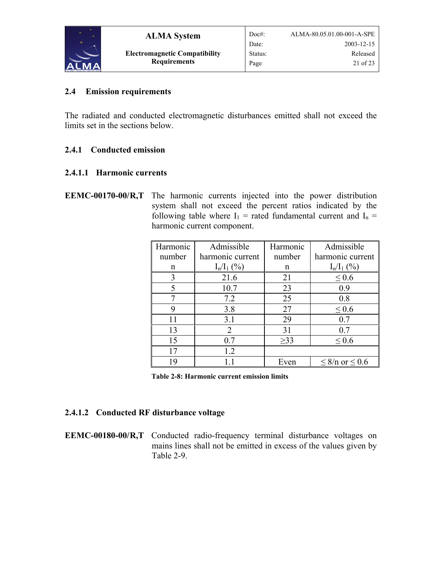<span id="page-20-0"></span>

## <span id="page-20-1"></span>**2.4 Emission requirements**

The radiated and conducted electromagnetic disturbances emitted shall not exceed the limits set in the sections below.

## **2.4.1 Conducted emission**

## **2.4.1.1 Harmonic currents**

**EEMC-00170-00/R,T** The harmonic currents injected into the power distribution system shall not exceed the percent ratios indicated by the following table where  $I_1$  = rated fundamental current and  $I_n$  = harmonic current component.

| Harmonic | Admissible                  | Harmonic  | Admissible               |
|----------|-----------------------------|-----------|--------------------------|
| number   | harmonic current            | number    | harmonic current         |
| n        | $I_n/I_1$ (%)               | n         | $I_n/I_1$ (%)            |
| 3        | 21.6                        | 21        | $\leq 0.6$               |
|          | 10.7                        | 23        | 0.9                      |
|          | 7.2                         | 25        | 0.8                      |
|          | 3.8                         | 27        | $\leq 0.6$               |
| 11       | 3.1                         | 29        | 0.7                      |
| 13       | $\mathcal{D}_{\mathcal{L}}$ | 31        | 0.7                      |
| 15       | 0.7                         | $\geq$ 33 | $\leq 0.6$               |
|          | 1.2                         |           |                          |
| 19       |                             | Even      | $\leq$ 8/n or $\leq$ 0.6 |

**Table 2-8: Harmonic current emission limits** 

## **2.4.1.2 Conducted RF disturbance voltage**

**EEMC-00180-00/R,T** Conducted radio-frequency terminal disturbance voltages on mains lines shall not be emitted in excess of the values given by [Table 2-9.](#page-21-1)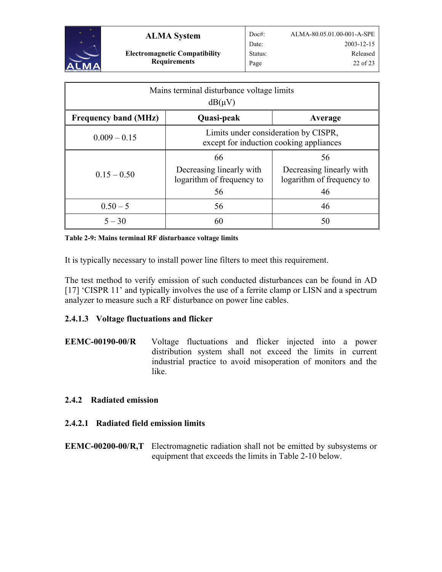<span id="page-21-0"></span>

| Mains terminal disturbance voltage limits<br>$dB(\mu V)$ |                                                                                 |                                                                   |  |  |
|----------------------------------------------------------|---------------------------------------------------------------------------------|-------------------------------------------------------------------|--|--|
| <b>Frequency band (MHz)</b>                              | Quasi-peak                                                                      | Average                                                           |  |  |
| $0.009 - 0.15$                                           | Limits under consideration by CISPR,<br>except for induction cooking appliances |                                                                   |  |  |
| $0.15 - 0.50$                                            | 66<br>Decreasing linearly with<br>logarithm of frequency to<br>56               | 56<br>Decreasing linearly with<br>logarithm of frequency to<br>46 |  |  |
| $0.50 - 5$                                               | 56                                                                              | 46                                                                |  |  |
| $5 - 30$                                                 | 60                                                                              | 50                                                                |  |  |

<span id="page-21-1"></span>**Table 2-9: Mains terminal RF disturbance voltage limits** 

It is typically necessary to install power line filters to meet this requirement.

The test method to verify emission of such conducted disturbances can be found in [AD](#page-5-2)  [\[17\]](#page-5-2) 'CISPR 11' and typically involves the use of a ferrite clamp or LISN and a spectrum analyzer to measure such a RF disturbance on power line cables.

## **2.4.1.3 Voltage fluctuations and flicker**

**EEMC-00190-00/R** Voltage fluctuations and flicker injected into a power distribution system shall not exceed the limits in current industrial practice to avoid misoperation of monitors and the like.

#### **2.4.2 Radiated emission**

## **2.4.2.1 Radiated field emission limits**

**EEMC-00200-00/R,T** Electromagnetic radiation shall not be emitted by subsystems or equipment that exceeds the limits in [Table 2-10](#page-22-0) below.